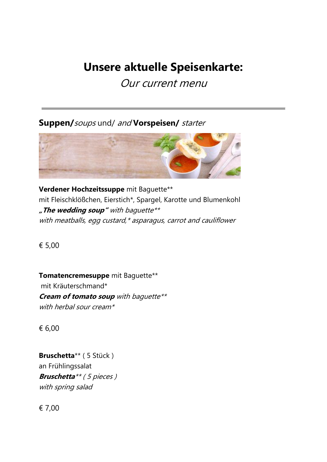# **Unsere aktuelle Speisenkarte:**

## Our current menu

#### **Suppen/**soups und/ and **Vorspeisen/** starter



**Verdener Hochzeitssuppe** mit Baguette\*\* mit Fleischklößchen, Eierstich\*, Spargel, Karotte und Blumenkohl **"The wedding soup"** with baguette\*\* with meatballs, egg custard,\* asparagus, carrot and cauliflower

€ 5,00

**Tomatencremesuppe** mit Baguette\*\* mit Kräuterschmand\* **Cream of tomato soup** with baquette\*\* with herbal sour cream\*

€ 6,00

**Bruschetta**\*\* ( 5 Stück ) an Frühlingssalat **Bruschetta**\*\* ( 5 pieces ) with spring salad

€ 7,00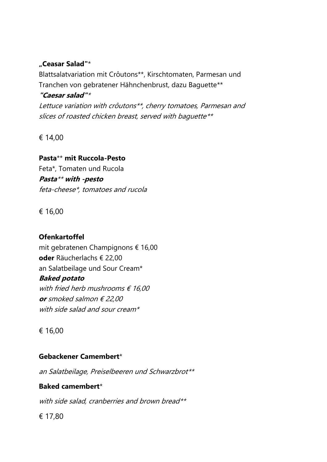#### **"Ceasar Salad"**\*

Blattsalatvariation mit Crôutons\*\*, Kirschtomaten, Parmesan und Tranchen von gebratener Hähnchenbrust, dazu Baguette\*\*

#### **"Caesar salad"**\*

Lettuce variation with crôutons\*\*, cherry tomatoes, Parmesan and slices of roasted chicken breast, served with baquette\*\*

€ 14,00

#### **Pasta**\*\* **mit Ruccola-Pesto**

Feta\*, Tomaten und Rucola **Pasta**\*\* **with -pesto** feta-cheese\*, tomatoes and rucola

#### € 16,00

#### **Ofenkartoffel**

mit gebratenen Champignons € 16,00 **oder** Räucherlachs € 22,00 an Salatbeilage und Sour Cream\* **Baked potato** with fried herb mushrooms  $\epsilon$  16,00 **or** smoked salmon € 22,00 with side salad and sour cream\*

€ 16,00

#### **Gebackener Camembert**\*

an Salatbeilage, Preiselbeeren und Schwarzbrot\*\*

#### **Baked camembert**\*

with side salad, cranberries and brown bread\*\*

€ 17,80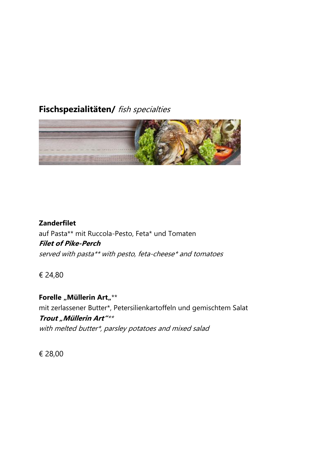## **Fischspezialitäten/** fish specialties



#### **Zanderfilet**

auf Pasta\*\* mit Ruccola-Pesto, Feta\* und Tomaten **Filet of Pike-Perch** served with pasta\*\* with pesto, feta-cheese\* and tomatoes

€ 24,80

#### **Forelle "Müllerin Art**"\*\*

mit zerlassener Butter\*, Petersilienkartoffeln und gemischtem Salat **Trout "Müllerin Art"**\*\* with melted butter\*, parsley potatoes and mixed salad

€ 28,00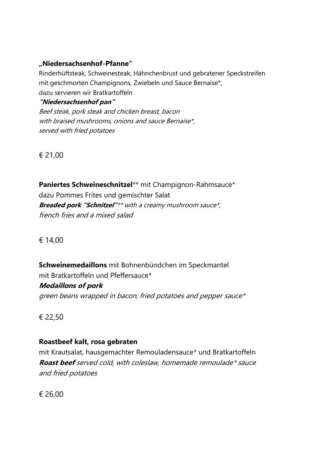#### **"Niedersachsenhof-Pfanne"**

Rinderhüftsteak, Schweinesteak, Hähnchenbrust und gebratener Speckstreifen mit geschmorten Champignons, Zwiebeln und Sauce Bernaise\*, dazu servieren wir Bratkartoffeln

**"Niedersachsenhof pan"**

Beef steak, pork steak and chicken breast, bacon with braised mushrooms, onions and sauce Bernaise\*, served with fried potatoes

€ 21,00

**Paniertes Schweineschnitzel**\*\* mit Champignon-Rahmsauce\* dazu Pommes Frites und gemischter Salat **Breaded pork "Schnitzel"**\*\* with a creamy mushroom sauce\*, french fries and a mixed salad

€ 14,00

**Schweinemedaillons** mit Bohnenbündchen im Speckmantel mit Bratkartoffeln und Pfeffersauce\*

#### **Medaillons of pork**

green beans wrapped in bacon, fried potatoes and pepper sauce\*

€ 22,50

#### **Roastbeef kalt, rosa gebraten**

mit Krautsalat, hausgemachter Remouladensauce\* und Bratkartoffeln **Roast beef** served cold, with coleslaw, homemade remoulade\* sauce and fried potatoes

€ 26,00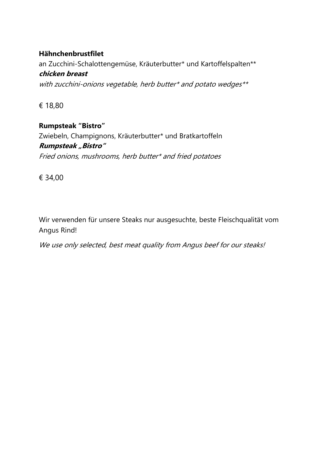#### **Hähnchenbrustfilet**

an Zucchini-Schalottengemüse, Kräuterbutter\* und Kartoffelspalten\*\* **chicken breast** with zucchini-onions vegetable, herb butter\* and potato wedges\*\*

€ 18,80

**Rumpsteak "Bistro"** Zwiebeln, Champignons, Kräuterbutter\* und Bratkartoffeln **Rumpsteak "Bistro"** Fried onions, mushrooms, herb butter\* and fried potatoes

€ 34,00

Wir verwenden für unsere Steaks nur ausgesuchte, beste Fleischqualität vom Angus Rind!

We use only selected, best meat quality from Angus beef for our steaks!